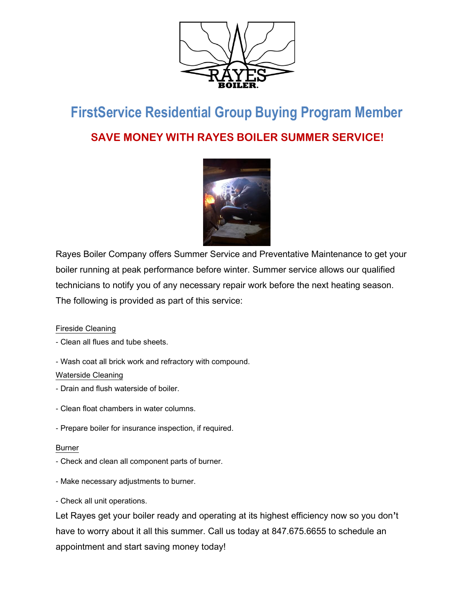

## **FirstService Residential Group Buying Program Member SAVE MONEY WITH RAYES BOILER SUMMER SERVICE!**



Rayes Boiler Company offers Summer Service and Preventative Maintenance to get your boiler running at peak performance before winter. Summer service allows our qualified technicians to notify you of any necessary repair work before the next heating season. The following is provided as part of this service:

### Fireside Cleaning

- Clean all flues and tube sheets.
- Wash coat all brick work and refractory with compound.

#### Waterside Cleaning

- Drain and flush waterside of boiler.
- Clean float chambers in water columns.
- Prepare boiler for insurance inspection, if required.

#### Burner

- Check and clean all component parts of burner.
- Make necessary adjustments to burner.
- Check all unit operations.

Let Rayes get your boiler ready and operating at its highest efficiency now so you don**'**t have to worry about it all this summer. Call us today at 847.675.6655 to schedule an appointment and start saving money today!